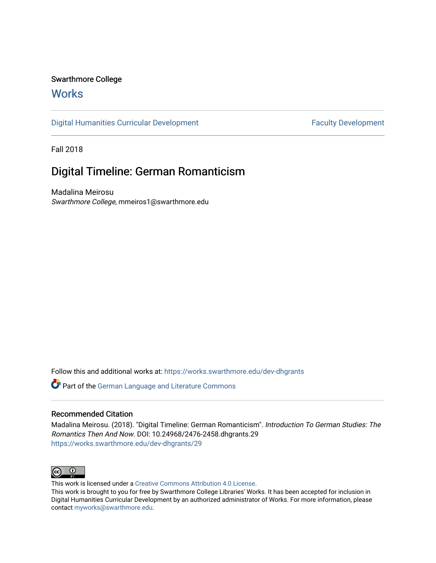## Swarthmore College

## **Works**

[Digital Humanities Curricular Development](https://works.swarthmore.edu/dev-dhgrants) **Faculty Development** Faculty Development

Fall 2018

# Digital Timeline: German Romanticism

Madalina Meirosu Swarthmore College, mmeiros1@swarthmore.edu

Follow this and additional works at: [https://works.swarthmore.edu/dev-dhgrants](https://works.swarthmore.edu/dev-dhgrants?utm_source=works.swarthmore.edu%2Fdev-dhgrants%2F29&utm_medium=PDF&utm_campaign=PDFCoverPages)

Part of the [German Language and Literature Commons](http://network.bepress.com/hgg/discipline/467?utm_source=works.swarthmore.edu%2Fdev-dhgrants%2F29&utm_medium=PDF&utm_campaign=PDFCoverPages)

#### Recommended Citation

Madalina Meirosu. (2018). "Digital Timeline: German Romanticism". Introduction To German Studies: The Romantics Then And Now. DOI: 10.24968/2476-2458.dhgrants.29 <https://works.swarthmore.edu/dev-dhgrants/29>



This work is licensed under a [Creative Commons Attribution 4.0 License](https://creativecommons.org/licenses/by/4.0/).

This work is brought to you for free by Swarthmore College Libraries' Works. It has been accepted for inclusion in Digital Humanities Curricular Development by an authorized administrator of Works. For more information, please contact [myworks@swarthmore.edu](mailto:myworks@swarthmore.edu).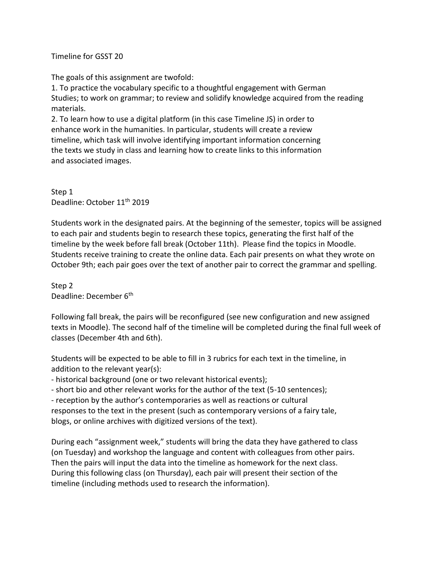Timeline for GSST 20

The goals of this assignment are twofold:

1. To practice the vocabulary specific to a thoughtful engagement with German Studies; to work on grammar; to review and solidify knowledge acquired from the reading materials.

2. To learn how to use a digital platform (in this case Timeline JS) in order to enhance work in the humanities. In particular, students will create a review timeline, which task will involve identifying important information concerning the texts we study in class and learning how to create links to this information and associated images.

Step 1 Deadline: October 11<sup>th</sup> 2019

Students work in the designated pairs. At the beginning of the semester, topics will be assigned to each pair and students begin to research these topics, generating the first half of the timeline by the week before fall break (October 11th). Please find the topics in Moodle. Students receive training to create the online data. Each pair presents on what they wrote on October 9th; each pair goes over the text of another pair to correct the grammar and spelling.

Step 2 Deadline: December 6<sup>th</sup>

Following fall break, the pairs will be reconfigured (see new configuration and new assigned texts in Moodle). The second half of the timeline will be completed during the final full week of classes (December 4th and 6th).

Students will be expected to be able to fill in 3 rubrics for each text in the timeline, in addition to the relevant year(s):

- historical background (one or two relevant historical events);

- short bio and other relevant works for the author of the text (5-10 sentences);

- reception by the author's contemporaries as well as reactions or cultural responses to the text in the present (such as contemporary versions of a fairy tale, blogs, or online archives with digitized versions of the text).

During each "assignment week," students will bring the data they have gathered to class (on Tuesday) and workshop the language and content with colleagues from other pairs. Then the pairs will input the data into the timeline as homework for the next class. During this following class (on Thursday), each pair will present their section of the timeline (including methods used to research the information).